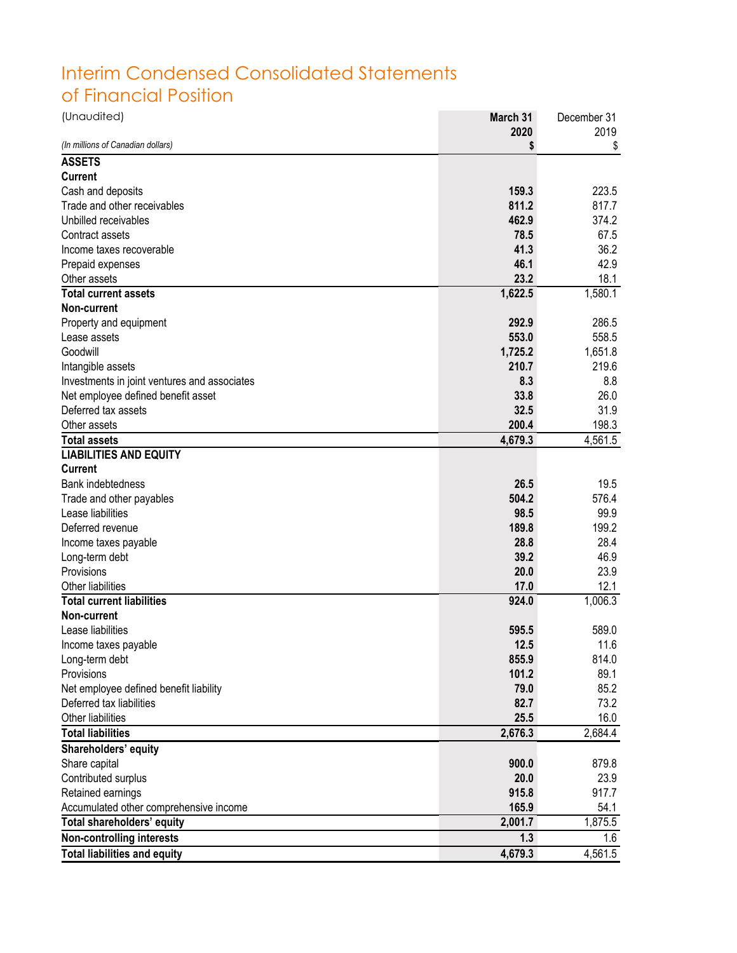## Interim Condensed Consolidated Statements of Financial Position

| (Unaudited)                                  | March 31 | December 31 |
|----------------------------------------------|----------|-------------|
|                                              | 2020     | 2019        |
| (In millions of Canadian dollars)            |          | \$          |
| <b>ASSETS</b>                                |          |             |
| <b>Current</b>                               |          |             |
| Cash and deposits                            | 159.3    | 223.5       |
| Trade and other receivables                  | 811.2    | 817.7       |
| Unbilled receivables                         | 462.9    | 374.2       |
| Contract assets                              | 78.5     | 67.5        |
| Income taxes recoverable                     | 41.3     | 36.2        |
| Prepaid expenses                             | 46.1     | 42.9        |
| Other assets                                 | 23.2     | 18.1        |
| <b>Total current assets</b>                  | 1,622.5  | 1,580.1     |
| Non-current                                  |          |             |
| Property and equipment                       | 292.9    | 286.5       |
| Lease assets                                 | 553.0    | 558.5       |
| Goodwill                                     | 1,725.2  | 1,651.8     |
| Intangible assets                            | 210.7    | 219.6       |
| Investments in joint ventures and associates | 8.3      | 8.8         |
| Net employee defined benefit asset           | 33.8     | 26.0        |
| Deferred tax assets                          | 32.5     | 31.9        |
| Other assets                                 | 200.4    | 198.3       |
| <b>Total assets</b>                          | 4,679.3  | 4,561.5     |
| <b>LIABILITIES AND EQUITY</b>                |          |             |
| <b>Current</b>                               |          |             |
| <b>Bank indebtedness</b>                     | 26.5     | 19.5        |
| Trade and other payables                     | 504.2    | 576.4       |
| Lease liabilities                            | 98.5     | 99.9        |
| Deferred revenue                             | 189.8    | 199.2       |
| Income taxes payable                         | 28.8     | 28.4        |
| Long-term debt                               | 39.2     | 46.9        |
| Provisions                                   | 20.0     | 23.9        |
| Other liabilities                            | 17.0     | 12.1        |
| <b>Total current liabilities</b>             | 924.0    | 1,006.3     |
| Non-current                                  |          |             |
| Lease liabilities                            | 595.5    | 589.0       |
| Income taxes payable                         | 12.5     | 11.6        |
| Long-term debt                               | 855.9    | 814.0       |
| Provisions                                   | 101.2    | 89.1        |
| Net employee defined benefit liability       | 79.0     | 85.2        |
| Deferred tax liabilities                     | 82.7     | 73.2        |
| Other liabilities                            | 25.5     | 16.0        |
| <b>Total liabilities</b>                     | 2,676.3  | 2,684.4     |
| Shareholders' equity                         |          |             |
| Share capital                                | 900.0    | 879.8       |
| Contributed surplus                          | 20.0     | 23.9        |
| Retained earnings                            | 915.8    | 917.7       |
| Accumulated other comprehensive income       | 165.9    | 54.1        |
| Total shareholders' equity                   | 2,001.7  | 1,875.5     |
| <b>Non-controlling interests</b>             | 1.3      | 1.6         |
| <b>Total liabilities and equity</b>          | 4,679.3  | 4,561.5     |